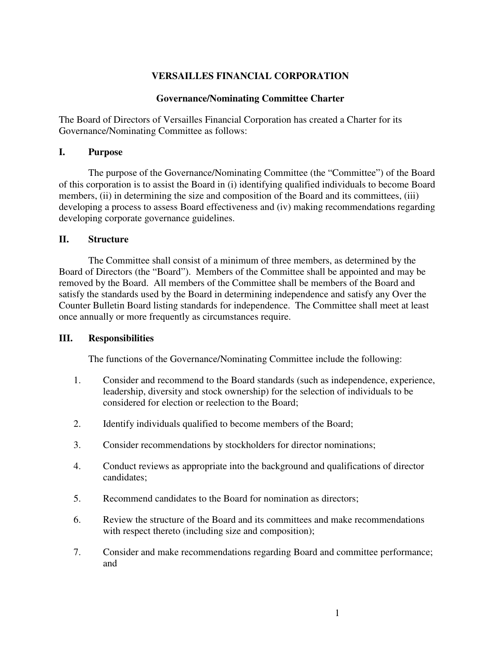# **VERSAILLES FINANCIAL CORPORATION**

#### **Governance/Nominating Committee Charter**

The Board of Directors of Versailles Financial Corporation has created a Charter for its Governance/Nominating Committee as follows:

#### **I. Purpose**

The purpose of the Governance/Nominating Committee (the "Committee") of the Board of this corporation is to assist the Board in (i) identifying qualified individuals to become Board members, (ii) in determining the size and composition of the Board and its committees, (iii) developing a process to assess Board effectiveness and (iv) making recommendations regarding developing corporate governance guidelines.

#### **II. Structure**

The Committee shall consist of a minimum of three members, as determined by the Board of Directors (the "Board"). Members of the Committee shall be appointed and may be removed by the Board. All members of the Committee shall be members of the Board and satisfy the standards used by the Board in determining independence and satisfy any Over the Counter Bulletin Board listing standards for independence. The Committee shall meet at least once annually or more frequently as circumstances require.

#### **III. Responsibilities**

The functions of the Governance/Nominating Committee include the following:

- 1. Consider and recommend to the Board standards (such as independence, experience, leadership, diversity and stock ownership) for the selection of individuals to be considered for election or reelection to the Board;
- 2. Identify individuals qualified to become members of the Board;
- 3. Consider recommendations by stockholders for director nominations;
- 4. Conduct reviews as appropriate into the background and qualifications of director candidates;
- 5. Recommend candidates to the Board for nomination as directors;
- 6. Review the structure of the Board and its committees and make recommendations with respect thereto (including size and composition);
- 7. Consider and make recommendations regarding Board and committee performance; and